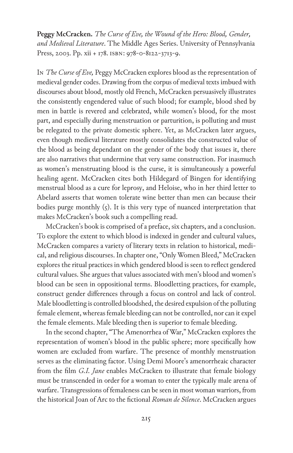**Peggy McCracken.** *The Curse of Eve, the Wound of the Hero: Blood, Gender, and Medieval Literature*. The Middle Ages Series. University of Pennsylvania Press, 2003. Pp. xii + 178. ISBN: 978-0-8122-3713-9.

In *The Curse of Eve,* Peggy McCracken explores blood as the representation of medieval gender codes. Drawing from the corpus of medieval texts imbued with discourses about blood, mostly old French, McCracken persuasively illustrates the consistently engendered value of such blood; for example, blood shed by men in battle is revered and celebrated, while women's blood, for the most part, and especially during menstruation or parturition, is polluting and must be relegated to the private domestic sphere. Yet, as McCracken later argues, even though medieval literature mostly consolidates the constructed value of the blood as being dependant on the gender of the body that issues it, there are also narratives that undermine that very same construction. For inasmuch as women's menstruating blood is the curse, it is simultaneously a powerful healing agent. McCracken cites both Hildegard of Bingen for identifying menstrual blood as a cure for leprosy, and Heloise, who in her third letter to Abelard asserts that women tolerate wine better than men can because their bodies purge monthly  $(5)$ . It is this very type of nuanced interpretation that makes McCracken's book such a compelling read.

McCracken's book is comprised of a preface, six chapters, and a conclusion. To explore the extent to which blood is indexed in gender and cultural values, McCracken compares a variety of literary texts in relation to historical, medical, and religious discourses. In chapter one, "Only Women Bleed," McCracken explores the ritual practices in which gendered blood is seen to reflect gendered cultural values. She argues that values associated with men's blood and women's blood can be seen in oppositional terms. Bloodletting practices, for example, construct gender differences through a focus on control and lack of control. Male bloodletting is controlled bloodshed, the desired expulsion of the polluting female element, whereas female bleeding can not be controlled, nor can it expel the female elements. Male bleeding then is superior to female bleeding.

In the second chapter, "The Amenorrhea of War," McCracken explores the representation of women's blood in the public sphere; more specifically how women are excluded from warfare. The presence of monthly menstruation serves as the eliminating factor. Using Demi Moore's amenorrheaic character from the film *G.I. Jane* enables McCracken to illustrate that female biology must be transcended in order for a woman to enter the typically male arena of warfare. Transgressions of femaleness can be seen in most woman warriors, from the historical Joan of Arc to the fictional *Roman de Silence*. McCracken argues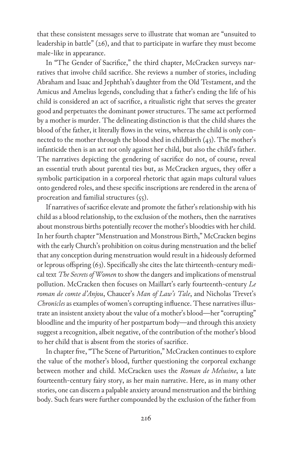that these consistent messages serve to illustrate that woman are "unsuited to leadership in battle" (26), and that to participate in warfare they must become male-like in appearance.

In "The Gender of Sacrifice," the third chapter, McCracken surveys narratives that involve child sacrifice. She reviews a number of stories, including Abraham and Isaac and Jephthah's daughter from the Old Testament, and the Amicus and Amelius legends, concluding that a father's ending the life of his child is considered an act of sacrifice, a ritualistic right that serves the greater good and perpetuates the dominant power structures. The same act performed by a mother is murder. The delineating distinction is that the child shares the blood of the father, it literally flows in the veins, whereas the child is only connected to the mother through the blood shed in childbirth (43). The mother's infanticide then is an act not only against her child, but also the child's father. The narratives depicting the gendering of sacrifice do not, of course, reveal an essential truth about parental ties but, as McCracken argues, they offer a symbolic participation in a corporeal rhetoric that again maps cultural values onto gendered roles, and these specific inscriptions are rendered in the arena of procreation and familial structures  $(55)$ .

If narratives of sacrifice elevate and promote the father's relationship with his child as a blood relationship, to the exclusion of the mothers, then the narratives about monstrous births potentially recover the mother's bloodties with her child. In her fourth chapter "Menstruation and Monstrous Birth," McCracken begins with the early Church's prohibition on coitus during menstruation and the belief that any conception during menstruation would result in a hideously deformed or leprous offspring (63). Specifically she cites the late thirteenth-century medical text *The Secrets of Women* to show the dangers and implications of menstrual pollution. McCracken then focuses on Maillart's early fourteenth-century *Le roman de comte d'Anjou*, Chaucer's *Man of Law's Tale*, and Nicholas Trevet's *Chronicles* as examples of women's corrupting influence. These narratives illustrate an insistent anxiety about the value of a mother's blood—her "corrupting" bloodline and the impurity of her postpartum body—and through this anxiety suggest a recognition, albeit negative, of the contribution of the mother's blood to her child that is absent from the stories of sacrifice.

In chapter five, "The Scene of Parturition," McCracken continues to explore the value of the mother's blood, further questioning the corporeal exchange between mother and child. McCracken uses the *Roman de Melusine*, a late fourteenth-century fairy story, as her main narrative. Here, as in many other stories, one can discern a palpable anxiety around menstruation and the birthing body. Such fears were further compounded by the exclusion of the father from